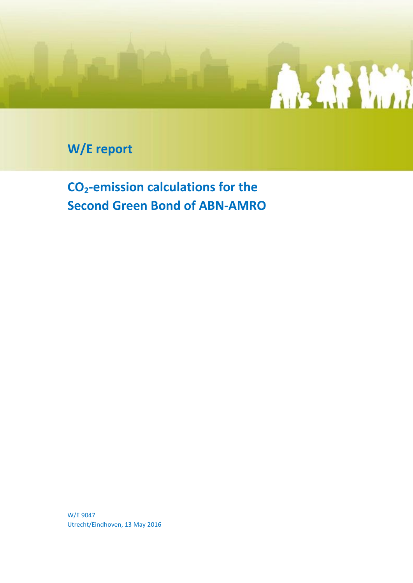

**W/E report**

**CO2-emission calculations for the Second Green Bond of ABN-AMRO**

W/E 9047 Utrecht/Eindhoven, 13 May 2016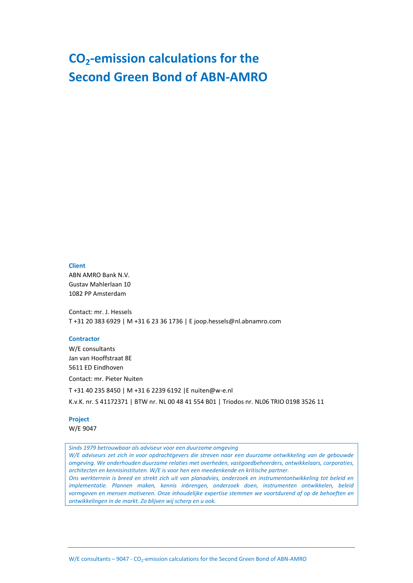### **CO2-emission calculations for the Second Green Bond of ABN-AMRO**

### **Client**

ABN AMRO Bank N.V. Gustav Mahlerlaan 10 1082 PP Amsterdam

Contact: mr. J. Hessels T +31 20 383 6929 | M +31 6 23 36 1736 | E joop.hessels@nl.abnamro.com

### **Contractor**

W/E consultants Jan van Hooffstraat 8E 5611 ED Eindhoven

Contact: mr. Pieter Nuiten

T +31 40 235 8450 | M +31 6 2239 6192 |E nuiten@w-e.nl

K.v.K. nr. S 41172371 | BTW nr. NL 00 48 41 554 B01 | Triodos nr. NL06 TRIO 0198 3526 11

### **Project**

W/E 9047

*Sinds 1979 betrouwbaar als adviseur voor een duurzame omgeving*

*W/E adviseurs zet zich in voor opdrachtgevers die streven naar een duurzame ontwikkeling van de gebouwde omgeving. We onderhouden duurzame relaties met overheden, vastgoedbeheerders, ontwikkelaars, corporaties, architecten en kennisinstituten. W/E is voor hen een meedenkende en kritische partner.*

*Ons werkterrein is breed en strekt zich uit van planadvies, onderzoek en instrumentontwikkeling tot beleid en implementatie. Plannen maken, kennis inbrengen, onderzoek doen, instrumenten ontwikkelen, beleid vormgeven en mensen motiveren. Onze inhoudelijke expertise stemmen we voortdurend af op de behoeften en ontwikkelingen in de markt. Zo blijven wij scherp en u ook.*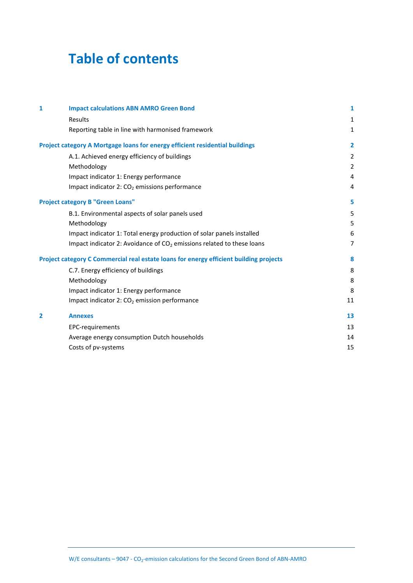### **Table of contents**

| 1 | <b>Impact calculations ABN AMRO Green Bond</b>                                         | 1              |
|---|----------------------------------------------------------------------------------------|----------------|
|   | Results                                                                                | 1              |
|   | Reporting table in line with harmonised framework                                      | $\mathbf{1}$   |
|   | Project category A Mortgage loans for energy efficient residential buildings           | $\overline{2}$ |
|   | A.1. Achieved energy efficiency of buildings                                           | $\overline{2}$ |
|   | Methodology                                                                            | $\overline{2}$ |
|   | Impact indicator 1: Energy performance                                                 | 4              |
|   | Impact indicator 2: CO <sub>2</sub> emissions performance                              | 4              |
|   | <b>Project category B "Green Loans"</b>                                                | 5              |
|   | B.1. Environmental aspects of solar panels used                                        | 5              |
|   | Methodology                                                                            | 5              |
|   | Impact indicator 1: Total energy production of solar panels installed                  | 6              |
|   | Impact indicator 2: Avoidance of $CO2$ emissions related to these loans                | $\overline{7}$ |
|   | Project category C Commercial real estate loans for energy efficient building projects | 8              |
|   | C.7. Energy efficiency of buildings                                                    | 8              |
|   | Methodology                                                                            | 8              |
|   | Impact indicator 1: Energy performance                                                 | 8              |
|   | Impact indicator 2: $CO2$ emission performance                                         | 11             |
| 2 | <b>Annexes</b>                                                                         | 13             |
|   | EPC-requirements                                                                       | 13             |
|   | Average energy consumption Dutch households                                            | 14             |
|   | Costs of pv-systems                                                                    | 15             |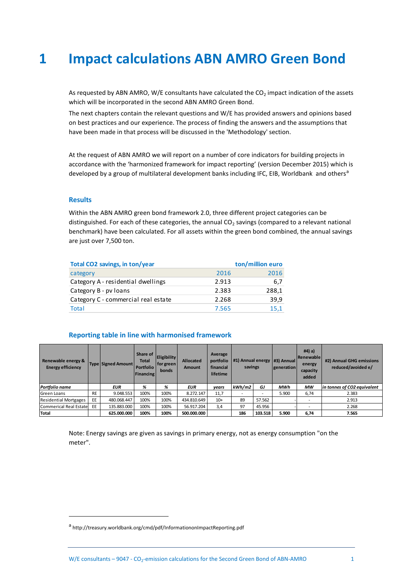## <span id="page-3-0"></span>**1 Impact calculations ABN AMRO Green Bond**

As requested by ABN AMRO, W/E consultants have calculated the  $CO<sub>2</sub>$  impact indication of the assets which will be incorporated in the second ABN AMRO Green Bond.

The next chapters contain the relevant questions and W/E has provided answers and opinions based on best practices and our experience. The process of finding the answers and the assumptions that have been made in that process will be discussed in the 'Methodology' section.

At the request of ABN AMRO we will report on a number of core indicators for building projects in accordance with the 'harmonized framework for impact reporting' (version December 2015) which is developed by a group of multilateral development banks including IFC, EIB, Worldbank and others<sup>a</sup>

### <span id="page-3-1"></span>**Results**

 $\overline{a}$ 

Within the ABN AMRO green bond framework 2.0, three different project categories can be distinguished. For each of these categories, the annual  $CO<sub>2</sub>$  savings (compared to a relevant national benchmark) have been calculated. For all assets within the green bond combined, the annual savings are just over 7,500 ton.

<span id="page-3-2"></span>

| Total CO2 savings, in ton/year      |       | ton/million euro |
|-------------------------------------|-------|------------------|
| category                            | 2016  | 2016             |
| Category A - residential dwellings  | 2.913 | 6.7              |
| Category B - pv loans               | 2.383 | 288,1            |
| Category C - commercial real estate | 2.268 | 39.9             |
| <b>Total</b>                        | 7.565 | 15.1             |

### **Reporting table in line with harmonised framework**

| Renewable energy &<br><b>Energy efficiency</b> |           | <b>Type Signed Amount</b> | Share of<br><b>Total</b><br>Portfolio<br><b>Financing</b> | <b>Eligibility</b><br>for green<br><b>bonds</b> | <b>Allocated</b><br><b>Amount</b> | Average<br>portfolio<br>financial<br>lifetime | savings |         | #1) Annual energy   #3) Annual<br><i><u><b>generation</b></u></i> | $#4$ ) a)<br>Renewable<br>energy<br>capacity<br>added | #2) Annual GHG emissions<br>reduced/avoided e/ |
|------------------------------------------------|-----------|---------------------------|-----------------------------------------------------------|-------------------------------------------------|-----------------------------------|-----------------------------------------------|---------|---------|-------------------------------------------------------------------|-------------------------------------------------------|------------------------------------------------|
| Portfolio name                                 |           | <b>EUR</b>                | %                                                         | %                                               | <b>EUR</b>                        | years                                         | kWh/m2  | GJ      | MWh                                                               | MW                                                    | in tonnes of CO2 equivalent                    |
| Green Loans                                    | <b>RE</b> | 9.048.553                 | 100%                                                      | 100%                                            | 8.272.147                         | 11.7                                          |         |         | 5.900                                                             | 6,74                                                  | 2.383                                          |
| <b>Residential Mortgages</b>                   | EE.       | 480.068.447               | 100%                                                      | 100%                                            | 434.810.649                       | $10+$                                         | 89      | 57.562  |                                                                   |                                                       | 2.913                                          |
| Commerical Real Estate                         | EE        | 135.883.000               | 100%                                                      | 100%                                            | 56.917.204                        | 3,4                                           | 97      | 45.956  |                                                                   |                                                       | 2.268                                          |
| Total                                          |           | 625.000.000               | 100%                                                      | 100%                                            | 500.000.000                       |                                               | 186     | 103.518 | 5.900                                                             | 6,74                                                  | 7.565                                          |

Note: Energy savings are given as savings in primary energy, not as energy consumption "on the meter".

a<br>http://treasury.worldbank.org/cmd/pdf/InformationonImpactReporting.pdf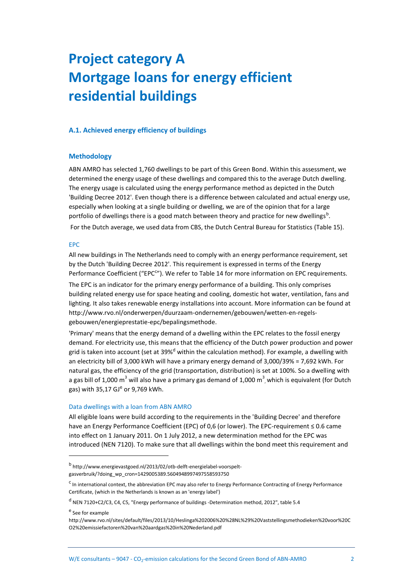# <span id="page-4-0"></span>**Project category A Mortgage loans for energy efficient residential buildings**

### <span id="page-4-2"></span><span id="page-4-1"></span>**A.1. Achieved energy efficiency of buildings**

### **Methodology**

ABN AMRO has selected 1,760 dwellings to be part of this Green Bond. Within this assessment, we determined the energy usage of these dwellings and compared this to the average Dutch dwelling. The energy usage is calculated using the energy performance method as depicted in the Dutch 'Building Decree 2012'. Even though there is a difference between calculated and actual energy use, especially when looking at a single building or dwelling, we are of the opinion that for a large portfolio of dwellings there is a good match between theory and practice for new dwellings<sup>b</sup>. For the Dutch average, we used data from CBS, the Dutch Central Bureau for Statistics [\(Table 15\)](#page-16-2).

### EPC

All new buildings in The Netherlands need to comply with an energy performance requirement, set by the Dutch 'Building Decree 2012'. This requirement is expressed in terms of the Energy Performance Coefficient ("EPC<sup>c</sup>"). We refer to [Table 14](#page-15-2) for more information on EPC requirements.

The EPC is an indicator for the primary energy performance of a building. This only comprises building related energy use for space heating and cooling, domestic hot water, ventilation, fans and lighting. It also takes renewable energy installations into account. More information can be found at http://www.rvo.nl/onderwerpen/duurzaam-ondernemen/gebouwen/wetten-en-regelsgebouwen/energieprestatie-epc/bepalingsmethode.

'Primary' means that the energy demand of a dwelling within the EPC relates to the fossil energy demand. For electricity use, this means that the efficiency of the Dutch power production and power grid is taken into account (set at 39%<sup>d</sup> within the calculation method). For example, a dwelling with an electricity bill of 3,000 kWh will have a primary energy demand of 3,000/39% = 7,692 kWh. For natural gas, the efficiency of the grid (transportation, distribution) is set at 100%. So a dwelling with a gas bill of 1,000 m<sup>3</sup> will also have a primary gas demand of 1,000 m<sup>3</sup>, which is equivalent (for Dutch gas) with 35,17 GJ<sup>e</sup> or 9,769 kWh.

### Data dwellings with a loan from ABN AMRO

All eligible loans were build according to the requirements in the 'Building Decree' and therefore have an Energy Performance Coefficient (EPC) of 0,6 (or lower). The EPC-requirement ≤ 0.6 came into effect on 1 January 2011. On 1 July 2012, a new determination method for the EPC was introduced (NEN 7120). To make sure that all dwellings within the bond meet this requirement and

 $\overline{a}$ 

<sup>&</sup>lt;sup>b</sup> http://www.energievastgoed.nl/2013/02/otb-delft-energielabel-voorspeltgasverbruik/?doing\_wp\_cron=1429005389.5604948997497558593750

<sup>&</sup>lt;sup>c</sup> In international context, the abbreviation EPC may also refer to Energy Performance Contracting of Energy Performance Certificate, (which in the Netherlands is known as an 'energy label')

<sup>&</sup>lt;sup>d</sup> NEN 7120+C2/C3, C4, C5, "Energy performance of buildings -Determination method, 2012", table 5.4

<sup>&</sup>lt;sup>e</sup> See for example

http://www.rvo.nl/sites/default/files/2013/10/Heslinga%202006%20%28NL%29%20Vaststellingsmethodieken%20voor%20C O2%20emissiefactoren%20van%20aardgas%20in%20Nederland.pdf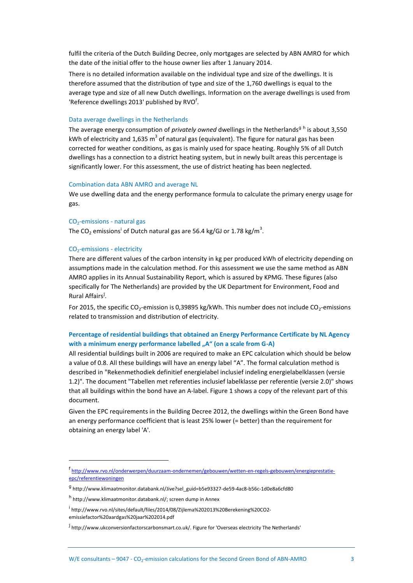fulfil the criteria of the Dutch Building Decree, only mortgages are selected by ABN AMRO for which the date of the initial offer to the house owner lies after 1 January 2014.

There is no detailed information available on the individual type and size of the dwellings. It is therefore assumed that the distribution of type and size of the 1,760 dwellings is equal to the average type and size of all new Dutch dwellings. Information on the average dwellings is used from 'Reference dwellings 2013' published by RVO<sup>f</sup>.

### <span id="page-5-0"></span>Data average dwellings in the Netherlands

The average energy consumption of *privately owned* dwellings in the Netherlands<sup>g h</sup> is about 3,550 kWh of electricity and 1,635 m<sup>3</sup> of natural gas (equivalent). The figure for natural gas has been corrected for weather conditions, as gas is mainly used for space heating. Roughly 5% of all Dutch dwellings has a connection to a district heating system, but in newly built areas this percentage is significantly lower. For this assessment, the use of district heating has been neglected.

### Combination data ABN AMRO and average NL

We use dwelling data and the energy performance formula to calculate the primary energy usage for gas.

### $CO<sub>2</sub>$ -emissions - natural gas

The CO<sub>2</sub> emissions<sup>i</sup> of Dutch natural gas are 56.4 kg/GJ or 1.78 kg/m<sup>3</sup>.

### CO2-emissions - electricity

 $\overline{a}$ 

There are different values of the carbon intensity in kg per produced kWh of electricity depending on assumptions made in the calculation method. For this assessment we use the same method as ABN AMRO applies in its Annual Sustainability Report, which is assured by KPMG. These figures (also specifically for The Netherlands) are provided by the UK Department for Environment, Food and Rural Affairs<sup>j</sup>.

For 2015, the specific CO<sub>2</sub>-emission is 0,39895 kg/kWh. This number does not include CO<sub>2</sub>-emissions related to transmission and distribution of electricity.

### **Percentage of residential buildings that obtained an Energy Performance Certificate by NL Agency**  with a minimum energy performance labelled "A" (on a scale from G-A)

All residential buildings built in 2006 are required to make an EPC calculation which should be below a value of 0.8. All these buildings will have an energy label "A". The formal calculation method is described in "Rekenmethodiek definitief energielabel inclusief indeling energielabelklassen (versie 1.2)". The document "Tabellen met referenties inclusief labelklasse per referentie (versie 2.0)" shows that all buildings within the bond have an A-label. Figur[e 1](#page-6-2) shows a copy of the relevant part of this document.

Given the EPC requirements in the Building Decree 2012, the dwellings within the Green Bond have an energy performance coefficient that is least 25% lower (= better) than the requirement for obtaining an energy label 'A'.

f http://www.rvo.nl/onderwerpen/duurzaam-ondernemen/gebouwen/wetten-en-regels-gebouwen/energieprestatieepc/referentiewoningen

<sup>&</sup>lt;sup>g</sup> http://www.klimaatmonitor.databank.nl/Jive?sel\_guid=b5e93327-de59-4ac8-b56c-1d0e8a6cfd80

<sup>&</sup>lt;sup>h</sup> http://www.klimaatmonitor.databank.nl/; screen dump in Annex

<sup>&</sup>lt;sup>i</sup> http://www.rvo.nl/sites/default/files/2014/08/Zijlema%202013%20Berekening%20CO2emissiefactor%20aardgas%20jaar%202014.pdf

<sup>&</sup>lt;sup>j</sup> http://www.ukconversionfactorscarbonsmart.co.uk/. Figure for 'Overseas electricity The Netherlands'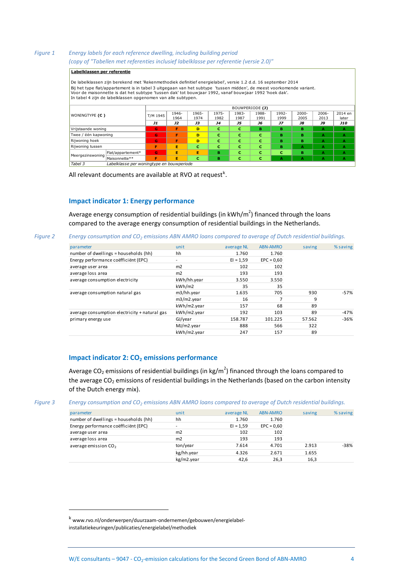### <span id="page-6-2"></span>*Figure 1 Energy labels for each reference dwelling, including building period (copy of "Tabellen met referenties inclusief labelklasse per referentie (versie 2.0)"*

### **Labelklassen per referentie**

De labelklassen zijn berekend met 'Rekenmethodiek definitief energielabel', versie 1.2 d.d. 16 september 2014 Bij het type flat/appartement is in tabel 3 uitgegaan van het subtype 'tussen midden', de meest voorkomende variant. **Labelklassen per referentie**<br>De labelklassen zijn berekend met 'Rekenmethodiek definitief energielabel', versie 1.2 d.d. 16 september 2<br>Bij het type flat/appartement is in tabel 3 uitgegaan van het subtype 'tussen midden'

|                       |                                           |          |               |               |               | BOUWPERIODE (J) |               |               |                  |                  |                  |
|-----------------------|-------------------------------------------|----------|---------------|---------------|---------------|-----------------|---------------|---------------|------------------|------------------|------------------|
| <b>WONINGTYPE (C)</b> |                                           | T/M 1945 | 1946-<br>1964 | 1965-<br>1974 | 1975-<br>1982 | 1983-<br>1987   | 1988-<br>1991 | 1992-<br>1999 | $2000 -$<br>2005 | $2006 -$<br>2013 | 2014 en<br>later |
|                       |                                           | J1       | J2            | JЗ            | <b>J4</b>     | J5              | J6            | J7            | <b>J8</b>        | J9               | <b>J10</b>       |
| Vrijstaande woning    |                                           | G        | F             | D             | c             | c               | в             | в             | в                | А                | $\mathbf{A}$     |
| Twee / één kapwoning  |                                           | G        | F             | D             | c             | c               | c             | в             | в                | А                | $\mathbf{A}$     |
| Rijwoning hoek        |                                           | G        | F             | D             | c             | c               | c             | в             | в                | А                | $\mathbf{A}$     |
| Rijwoning tussen      |                                           | Е        | Е             | c             | c             | c               | c             | в             | A                | А                | A                |
| Meergezinswoning      | Flat/appartement*                         | G        | Е             | Е             | в             | c               | с             | c             | в                | А                | $\mathbf{A}$     |
|                       | Maisonnette**                             | F        | Е             | c             | в             | с               | c             | А             | А                | А                | A                |
| Tabel 3               | Labelklasse per woningtype en bouwperiode |          |               |               |               |                 |               |               |                  |                  |                  |

<span id="page-6-0"></span>All relevant documents are available at RVO at request<sup>k</sup>.

### **Impact indicator 1: Energy performance**

Average energy consumption of residential buildings (in kWh/m<sup>2</sup>) financed through the loans compared to the average energy consumption of residential buildings in the Netherlands.

### *Figure 2 Energy consumption and CO<sup>2</sup> emissions ABN AMRO loans compared to average of Dutch residential buildings.*

| parameter                                     | unit          | average NL  | <b>ABN-AMRO</b> | saving                                | % saving |
|-----------------------------------------------|---------------|-------------|-----------------|---------------------------------------|----------|
| number of dwellings = households (hh)         | hh            | 1.760       | 1.760           |                                       |          |
| Energy performance coëfficiënt (EPC)          | ٠             | $EI = 1,59$ | $EPC = 0,60$    |                                       |          |
| average user area                             | m2            | 102         | 102             |                                       |          |
| average loss area                             | m2            | 193         | 193             |                                       |          |
| average consumption electricity               | kWh/hh.year   | 3.550       | 3.550           |                                       |          |
|                                               | kWh/m2        | 35          | 35              | 930<br>9<br>89<br>89<br>57.562<br>322 |          |
| average consumption natural gas               | m3/hh.year    | 1.635       | 705             |                                       | $-57%$   |
|                                               | $m3/m2$ .year | 16          | 7               |                                       |          |
|                                               | kWh/m2.year   | 157         | 68              |                                       |          |
| average consumption electricity + natural gas | kWh/m2.year   | 192         | 103             |                                       | -47%     |
| primary energy use                            | GJ/year       | 158.787     | 101.225         |                                       | $-36%$   |
|                                               | MJ/m2.year    | 888         | 566             |                                       |          |
|                                               | kWh/m2.year   | 247         | 157             | 89                                    |          |

### <span id="page-6-1"></span>**Impact indicator 2: CO<sup>2</sup> emissions performance**

Average CO<sub>2</sub> emissions of residential buildings (in kg/m<sup>2</sup>) financed through the loans compared to the average  $CO<sub>2</sub>$  emissions of residential buildings in the Netherlands (based on the carbon intensity of the Dutch energy mix).

<span id="page-6-3"></span>*Figure 3 Energy consumption and CO<sup>2</sup> emissions ABN AMRO loans compared to average of Dutch residential buildings.*

| parameter                             | unit       | average NL  | <b>ABN-AMRO</b> | saving | % saving |
|---------------------------------------|------------|-------------|-----------------|--------|----------|
| number of dwellings = households (hh) | hh         | 1.760       | 1.760           |        |          |
| Energy performance coëfficiënt (EPC)  | ۰          | $EI = 1,59$ | $EPC = 0,60$    |        |          |
| average user area                     | m2         | 102         | 102             |        |          |
| average loss area                     | m2         | 193         | 193             |        |          |
| average emission $CO2$                | ton/year   | 7.614       | 4.701           | 2.913  | $-38%$   |
|                                       | kg/hh.year | 4.326       | 2.671           | 1.655  |          |
|                                       | kg/m2.year | 42,6        | 26,3            | 16,3   |          |

 $\overline{a}$ 

<sup>k</sup> www.rvo.nl/onderwerpen/duurzaam-ondernemen/gebouwen/energielabelinstallatiekeuringen/publicaties/energielabel/methodiek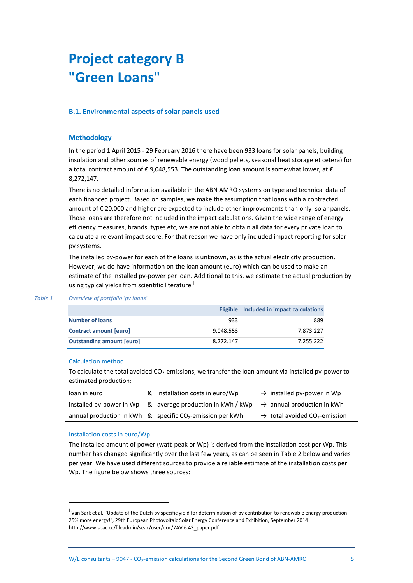## <span id="page-7-0"></span>**Project category B "Green Loans"**

### <span id="page-7-2"></span><span id="page-7-1"></span>**B.1. Environmental aspects of solar panels used**

### **Methodology**

In the period 1 April 2015 - 29 February 2016 there have been 933 loans for solar panels, building insulation and other sources of renewable energy (wood pellets, seasonal heat storage et cetera) for a total contract amount of  $\epsilon$  9,048,553. The outstanding loan amount is somewhat lower, at  $\epsilon$ 8,272,147.

There is no detailed information available in the ABN AMRO systems on type and technical data of each financed project. Based on samples, we make the assumption that loans with a contracted amount of € 20,000 and higher are expected to include other improvements than only solar panels. Those loans are therefore not included in the impact calculations. Given the wide range of energy efficiency measures, brands, types etc, we are not able to obtain all data for every private loan to calculate a relevant impact score. For that reason we have only included impact reporting for solar pv systems.

The installed pv-power for each of the loans is unknown, as is the actual electricity production. However, we do have information on the loan amount (euro) which can be used to make an estimate of the installed pv-power per loan. Additional to this, we estimate the actual production by using typical yields from scientific literature<sup>1</sup>.

|                                  |           | Eligible Included in impact calculations |  |
|----------------------------------|-----------|------------------------------------------|--|
| <b>Number of loans</b>           | 933       | 889                                      |  |
| <b>Contract amount [euro]</b>    | 9.048.553 | 7.873.227                                |  |
| <b>Outstanding amount [euro]</b> | 8.272.147 | 7.255.222                                |  |

### *Table 1 Overview of portfolio 'pv loans'*

### Calculation method

To calculate the total avoided CO<sub>2</sub>-emissions, we transfer the loan amount via installed pv-power to estimated production:

| loan in euro | & installation costs in euro/Wp                                                                   | $\rightarrow$ installed pv-power in Wp                |
|--------------|---------------------------------------------------------------------------------------------------|-------------------------------------------------------|
|              | installed pv-power in Wp & average production in kWh / kWp $\rightarrow$ annual production in kWh |                                                       |
|              | annual production in kWh $\alpha$ specific CO <sub>2</sub> -emission per kWh                      | $\rightarrow$ total avoided CO <sub>2</sub> -emission |

### Installation costs in euro/Wp

 $\overline{a}$ 

The installed amount of power (watt-peak or Wp) is derived from the installation cost per Wp. This number has changed significantly over the last few years, as can be seen in [Table 2](#page-8-1) below and varies per year. We have used different sources to provide a reliable estimate of the installation costs per Wp. The figure below shows three sources:

<sup>&</sup>lt;sup>l</sup> Van Sark et al, "Update of the Dutch pv specific yield for determination of pv contribution to renewable energy production: 25% more energy!", 29th European Photovoltaic Solar Energy Conference and Exhibition, September 2014 http://www.seac.cc/fileadmin/seac/user/doc/7AV.6.43\_paper.pdf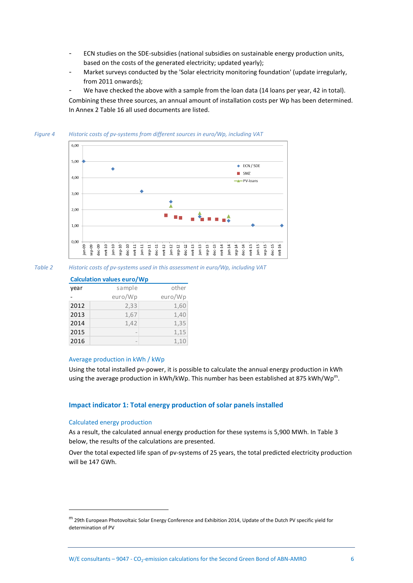- ECN studies on the SDE-subsidies (national subsidies on sustainable energy production units, based on the costs of the generated electricity; updated yearly);
- Market surveys conducted by the 'Solar electricity monitoring foundation' (update irregularly, from 2011 onwards);

We have checked the above with a sample from the loan data (14 loans per year, 42 in total). Combining these three sources, an annual amount of installation costs per Wp has been determined. In Annex 2 [Table 16](#page-17-0) all used documents are listed.



<span id="page-8-1"></span>*Table 2 Historic costs of pv-systems used in this assessment in euro/Wp, including VAT* 

### **Calculation values euro/Wp**

| year | sample                   | other   |
|------|--------------------------|---------|
|      | euro/Wp                  | euro/Wp |
| 2012 | 2,33                     | 1,60    |
| 2013 | 1,67                     | 1,40    |
| 2014 | 1,42                     | 1,35    |
| 2015 | $\overline{\phantom{a}}$ | 1,15    |
| 2016 | -                        | 1,10    |

### Average production in kWh / kWp

Using the total installed pv-power, it is possible to calculate the annual energy production in kWh using the average production in kWh/kWp. This number has been established at 875 kWh/Wp<sup>m</sup>.

### <span id="page-8-0"></span>**Impact indicator 1: Total energy production of solar panels installed**

### Calculated energy production

 $\overline{a}$ 

As a result, the calculated annual energy production for these systems is 5,900 MWh. In [Table 3](#page-9-1) below, the results of the calculations are presented.

Over the total expected life span of pv-systems of 25 years, the total predicted electricity production will be 147 GWh.

<sup>m</sup> 29th European Photovoltaic Solar Energy Conference and Exhibition 2014, Update of the Dutch PV specific yield for determination of PV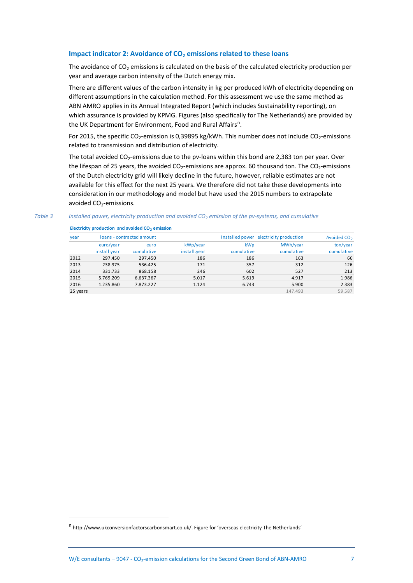### <span id="page-9-0"></span>**Impact indicator 2: Avoidance of CO<sup>2</sup> emissions related to these loans**

The avoidance of  $CO<sub>2</sub>$  emissions is calculated on the basis of the calculated electricity production per year and average carbon intensity of the Dutch energy mix.

There are different values of the carbon intensity in kg per produced kWh of electricity depending on different assumptions in the calculation method. For this assessment we use the same method as ABN AMRO applies in its Annual Integrated Report (which includes Sustainability reporting), on which assurance is provided by KPMG. Figures (also specifically for The Netherlands) are provided by the UK Department for Environment, Food and Rural Affairs<sup>n</sup>.

For 2015, the specific CO<sub>2</sub>-emission is 0,39895 kg/kWh. This number does not include CO<sub>2</sub>-emissions related to transmission and distribution of electricity.

The total avoided CO<sub>2</sub>-emissions due to the pv-loans within this bond are 2,383 ton per year. Over the lifespan of 25 years, the avoided  $CO_2$ -emissions are approx. 60 thousand ton. The  $CO_2$ -emissions of the Dutch electricity grid will likely decline in the future, however, reliable estimates are not available for this effect for the next 25 years. We therefore did not take these developments into consideration in our methodology and model but have used the 2015 numbers to extrapolate avoided CO<sub>2</sub>-emissions.

### <span id="page-9-1"></span>*Table 3 Installed power, electricity production and avoided CO<sup>2</sup> emission of the pv-systems, and cumulative*

 $\overline{a}$ 

**Electricity production and avoided CO<sup>2</sup> emission**

| <b>year</b> | loans - contracted amount |            |              |            | installed power electricity production | Avoided CO <sub>2</sub> |
|-------------|---------------------------|------------|--------------|------------|----------------------------------------|-------------------------|
|             | euro/year                 | euro       | kWp/year     | <b>kWp</b> | MWh/year                               | ton/year                |
|             | install.year              | cumulative | install.year | cumulative | cumulative                             | cumulative              |
| 2012        | 297.450                   | 297.450    | 186          | 186        | 163                                    | 66                      |
| 2013        | 238.975                   | 536.425    | 171          | 357        | 312                                    | 126                     |
| 2014        | 331.733                   | 868.158    | 246          | 602        | 527                                    | 213                     |
| 2015        | 5.769.209                 | 6.637.367  | 5.017        | 5.619      | 4.917                                  | 1.986                   |
| 2016        | 1.235.860                 | 7.873.227  | 1.124        | 6.743      | 5.900                                  | 2.383                   |
| 25 years    |                           |            |              |            | 147.493                                | 59.587                  |

n<br>http://www.ukconversionfactorscarbonsmart.co.uk/. Figure for 'overseas electricity The Netherlands'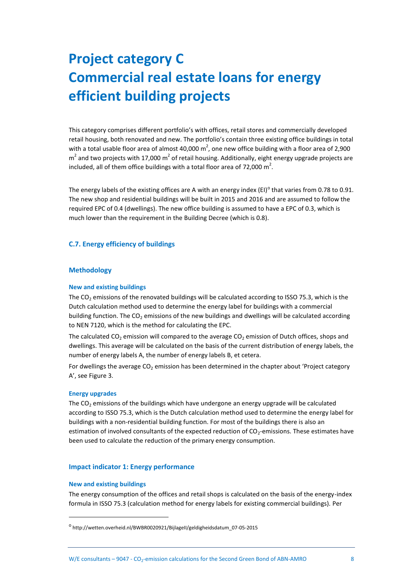# <span id="page-10-0"></span>**Project category C Commercial real estate loans for energy efficient building projects**

This category comprises different portfolio's with offices, retail stores and commercially developed retail housing, both renovated and new. The portfolio's contain three existing office buildings in total with a total usable floor area of almost 40,000  $m^2$ , one new office building with a floor area of 2,900  $m^2$  and two projects with 17,000  $m^2$  of retail housing. Additionally, eight energy upgrade projects are included, all of them office buildings with a total floor area of 72,000  $m^2$ .

The energy labels of the existing offices are A with an energy index (EI)<sup>o</sup> that varies from 0.78 to 0.91. The new shop and residential buildings will be built in 2015 and 2016 and are assumed to follow the required EPC of 0.4 (dwellings). The new office building is assumed to have a EPC of 0.3, which is much lower than the requirement in the Building Decree (which is 0.8).

### <span id="page-10-2"></span><span id="page-10-1"></span>**C.7. Energy efficiency of buildings**

### **Methodology**

### **New and existing buildings**

The  $CO<sub>2</sub>$  emissions of the renovated buildings will be calculated according to ISSO 75.3, which is the Dutch calculation method used to determine the energy label for buildings with a commercial building function. The  $CO<sub>2</sub>$  emissions of the new buildings and dwellings will be calculated according to NEN 7120, which is the method for calculating the EPC.

The calculated CO<sub>2</sub> emission will compared to the average CO<sub>2</sub> emission of Dutch offices, shops and dwellings. This average will be calculated on the basis of the current distribution of energy labels, the number of energy labels A, the number of energy labels B, et cetera.

For dwellings the average CO<sub>2</sub> emission has been determined in the chapter about 'Project category A', see [Figure 3.](#page-6-3)

### **Energy upgrades**

The  $CO<sub>2</sub>$  emissions of the buildings which have undergone an energy upgrade will be calculated according to ISSO 75.3, which is the Dutch calculation method used to determine the energy label for buildings with a non-residential building function. For most of the buildings there is also an estimation of involved consultants of the expected reduction of CO<sub>2</sub>-emissions. These estimates have been used to calculate the reduction of the primary energy consumption.

### <span id="page-10-3"></span>**Impact indicator 1: Energy performance**

### **New and existing buildings**

 $\overline{a}$ 

The energy consumption of the offices and retail shops is calculated on the basis of the energy-index formula in ISSO 75.3 (calculation method for energy labels for existing commercial buildings). Per

<sup>&</sup>lt;sup>o</sup>http://wetten.overheid.nl/BWBR0020921/BijlageII/geldigheidsdatum\_07-05-2015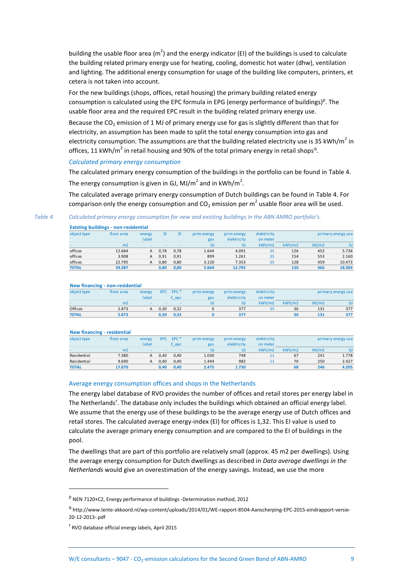building the usable floor area ( $m^2$ ) and the energy indicator (EI) of the buildings is used to calculate the building related primary energy use for heating, cooling, domestic hot water (dhw), ventilation and lighting. The additional energy consumption for usage of the building like computers, printers, et cetera is not taken into account.

For the new buildings (shops, offices, retail housing) the primary building related energy consumption is calculated using the EPC formula in EPG (energy performance of buildings)<sup>p</sup>. The usable floor area and the required EPC result in the building related primary energy use.

Because the  $CO<sub>2</sub>$  emission of 1 MJ of primary energy use for gas is slightly different than that for electricity, an assumption has been made to split the total energy consumption into gas and electricity consumption. The assumptions are that the building related electricity use is 35 kWh/m<sup>2</sup> in offices, 11 kWh/m<sup>2</sup> in retail housing and 90% of the total primary energy in retail shops<sup>q</sup>.

### *Calculated primary energy consumption*

The calculated primary energy consumption of the buildings in the portfolio can be found in [Table 4.](#page-11-0) The energy consumption is given in GJ, MJ/m<sup>2</sup> and in kWh/m<sup>2</sup>.

The calculated average primary energy consumption of Dutch buildings can be found in [Table 4.](#page-11-0) For comparison only the energy consumption and CO<sub>2</sub> emission per m<sup>2</sup> usable floor area will be used.

<span id="page-11-0"></span>*Table 4 Calculated primary energy consumption for new and existing buildings in the ABN AMRO portfolio's.*

|              | <b>Existing buildings - non-residential</b> |                          |      |      |             |             |             |        |       |                    |
|--------------|---------------------------------------------|--------------------------|------|------|-------------|-------------|-------------|--------|-------|--------------------|
| object type  | floor area                                  | energy                   | ΕI   |      | prim energy | prim energy | elektricity |        |       | primary energy use |
|              |                                             | label                    |      |      | gas         | elektricity | on meter    |        |       |                    |
|              | m <sub>2</sub>                              | $\overline{\phantom{a}}$ |      |      | GJ          | GJ          | kWh/m2      | kWh/m2 | MJ/m2 | <b>GJ</b>          |
| offices      | 12.684                                      | A                        | 0.78 | 0.78 | 1.644       | 4.091       | 35          | 126    | 452   | 5.736              |
| offices      | 3.908                                       | A                        | 0,91 | 0.91 | 899         | 1.261       | 35          | 154    | 553   | 2.160              |
| offices      | 22.795                                      | A                        | 0.80 | 0.80 | 3.120       | 7.353       | 35          | 128    | 459   | 10.473             |
| <b>TOTAL</b> | 39.387                                      |                          | 0,80 | 0,80 | 5.664       | 12.705      |             | 130    | 466   | 18.369             |
|              |                                             |                          |      |      |             |             |             |        |       |                    |

#### **New financing - non-residential**

| object type  | floor area     | energy | EPC. | EPC <sup>*</sup> | prim energy | prim energy | elektricity |        |       | primary energy use |
|--------------|----------------|--------|------|------------------|-------------|-------------|-------------|--------|-------|--------------------|
|              |                | label  |      | C epc            | gas         | elektricity | on meter    |        |       |                    |
|              | m <sub>2</sub> | $\sim$ |      |                  | GJ          | GJ          | kWh/m2      | kWh/m2 | MJ/m2 | GJ                 |
| Offices      | 2.873          | A      | 0,30 | 0,32             |             | 377         | 35          | 36     | 131   | 377                |
| <b>TOTAL</b> | 2.873          |        | 0,30 | 0,32             |             | 377         |             | 36     | 131   | 377                |

#### **New financing - residential**

 $\overline{a}$ 

| object type  | floor area     | energy                   | EPC  | EPC <sup>*</sup> | prim energy | prim energy | elektricity |        |       | primary energy use |
|--------------|----------------|--------------------------|------|------------------|-------------|-------------|-------------|--------|-------|--------------------|
|              |                | label                    |      | C epc            | gas         | elektricity | on meter    |        |       |                    |
|              | m <sub>2</sub> | $\overline{\phantom{a}}$ |      |                  | GJ          | GJ          | kWh/m2      | kWh/m2 | MJ/m2 | <b>GJ</b>          |
| Residential  | 7.380          | A                        | 0.40 | 0,40             | 1.030       | 748         | 11          | 67     | 241   | 1.778              |
| Residential  | 9.690          | A                        | 0,40 | 0,40             | 1.444       | 982         | 11          | 70     | 250   | 2.427              |
| <b>TOTAL</b> | 17.070         |                          | 0,40 | 0,40             | 2.475       | 1.730       |             | 68     | 246   | 4.205              |

### Average energy consumption offices and shops in the Netherlands

The energy label database of RVO provides the number of offices and retail stores per energy label in The Netherlands<sup>r</sup>. The database only includes the buildings which obtained an official energy label. We assume that the energy use of these buildings to be the average energy use of Dutch offices and retail stores. The calculated average energy-index (EI) for offices is 1,32. This EI value is used to calculate the average primary energy consumption and are compared to the EI of buildings in the pool.

The dwellings that are part of this portfolio are relatively small (approx. 45 m2 per dwellings). Using the average energy consumption for Dutch dwellings as described in *[Data average dwellings in the](#page-5-0)  [Netherlands](#page-5-0)* would give an overestimation of the energy savings. Instead, we use the more

<sup>&</sup>lt;sup>p</sup> NEN 7120+C2, Energy performance of buildings -Determination method, 2012

<sup>&</sup>lt;sup>q</sup> http://www.lente-akkoord.nl/wp-content/uploads/2014/01/WE-rapport-8504-Aanscherping-EPC-2015-eindrapport-versie-20-12-2013-.pdf

<sup>&</sup>lt;sup>r</sup> RVO database official energy labels, April 2015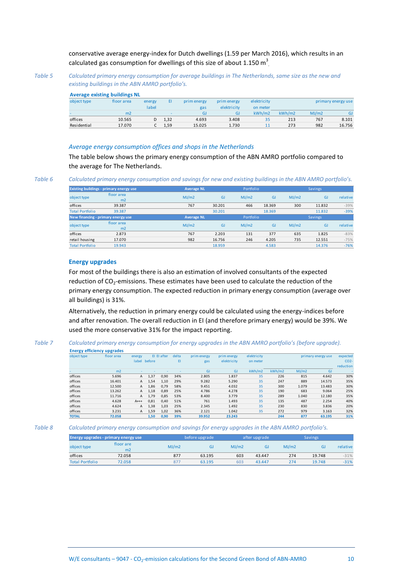conservative average energy-index for Dutch dwellings (1.59 per March 2016), which results in an calculated gas consumption for dwellings of this size of about 1.150  $\text{m}^3$ 

*Table 5 Calculated primary energy consumption for average buildings in The Netherlands, same size as the new and existing buildings in the ABN AMRO portfolio's.*

### **Average existing buildings NL**

|             | <b>Average existing buildings NL</b> |        |      |             |             |             |        |       |                    |
|-------------|--------------------------------------|--------|------|-------------|-------------|-------------|--------|-------|--------------------|
| object type | floor area                           | energy | EI   | prim energy | prim energy | elektricity |        |       | primary energy use |
|             |                                      | label  |      | gas         | elektricity | on meter    |        |       |                    |
|             | m <sub>2</sub>                       |        | -    | GJ          | GJ          | kWh/m2      | kWh/m2 | MJ/m2 | GJ                 |
| offices     | 10.565                               | D      | 1,32 | 4.693       | 3.408       | 35          | 213    | 767   | 8.101              |
| Residential | 17.070                               |        | 1,59 | 15.025      | 1.730       | 11          | 273    | 982   | 16.756             |
|             |                                      |        |      |             |             |             |        |       |                    |

### *Average energy consumption offices and shops in the Netherlands*

The table below shows the primary energy consumption of the ABN AMRO portfolio compared to the average for The Netherlands.

*Table 6 Calculated primary energy consumption and savings for new and existing buildings in the ABN AMRO portfolio's.*

|                                    | <b>Existing buildings - primary energy use</b> | <b>Average NL</b> |        | Portfolio |           |       | Savings   |          |
|------------------------------------|------------------------------------------------|-------------------|--------|-----------|-----------|-------|-----------|----------|
| object type                        | floor area                                     | MJ/m2             | GJ     | MJ/m2     | <b>GJ</b> | MJ/m2 | <b>GJ</b> | relative |
|                                    | m <sub>2</sub>                                 |                   |        |           |           |       |           |          |
| offices                            | 39.387                                         | 767               | 30.201 | 466       | 18.369    | 300   | 11.832    | $-39%$   |
| <b>Total Portfolio</b>             | 39.387                                         |                   | 30.201 |           | 18.369    |       | 11.832    | $-39%$   |
| New financing - primary energy use |                                                | <b>Average NL</b> |        | Portfolio |           |       | Savings   |          |
| object type                        | floor area                                     | MJ/m2             | GJ     | MJ/m2     | <b>GJ</b> | MJ/m2 | <b>GJ</b> | relative |
|                                    | m <sub>2</sub>                                 |                   |        |           |           |       |           |          |
| offices                            | 2.873                                          | 767               | 2.203  | 131       | 377       | 635   | 1.825     | $-83%$   |
| retail housing                     | 17.070                                         | 982               | 16.756 | 246       | 4.205     | 735   | 12.551    | $-75%$   |
| <b>Total Portfolio</b>             | 19.943                                         |                   | 18.959 |           | 4.583     |       | 14.376    | $-76%$   |

### **Energy upgrades**

For most of the buildings there is also an estimation of involved consultants of the expected reduction of  $CO_2$ -emissions. These estimates have been used to calculate the reduction of the primary energy consumption. The expected reduction in primary energy consumption (average over all buildings) is 31%.

Alternatively, the reduction in primary energy could be calculated using the energy-indices before and after renovation. The overall reduction in EI (and therefore primary energy) would be 39%. We used the more conservative 31% for the impact reporting.

#### *Table 7 Calculated primary energy consumption for energy upgrades in the ABN AMRO portfolio's (before upgrade).* **Energy efficiency upgrades**

| object type  | floor area     | energy       |              | El El after | delta | prim energy | prim energy | elektricity |        |       | primary energy use | expected        |
|--------------|----------------|--------------|--------------|-------------|-------|-------------|-------------|-------------|--------|-------|--------------------|-----------------|
|              |                |              | label before |             | EI    | gas         | elektricity | on meter    |        |       |                    | CO <sub>2</sub> |
|              |                |              |              |             |       |             |             |             |        |       |                    | reduction       |
|              | m <sub>2</sub> |              |              |             |       | <b>GJ</b>   | <b>GJ</b>   | kWh/m2      | kWh/m2 | MJ/m2 | GJ                 |                 |
| offices      | 5.696          | A            | 1,37         | 0,90        | 34%   | 2.805       | 1.837       | 35          | 226    | 815   | 4.642              | 30%             |
| offices      | 16.401         | $\mathsf{A}$ | 1,54         | 1,10        | 29%   | 9.282       | 5.290       | 35          | 247    | 889   | 14.573             | 35%             |
| offices      | 12.500         | A            | 1,86         | 0.79        | 58%   | 9.451       | 4.032       | 35          | 300    | 1.079 | 13.483             | 30%             |
| offices      | 13.262         | A            | 1,18         | 0,89        | 25%   | 4.786       | 4.278       | 35          | 190    | 683   | 9.064              | 25%             |
| offices      | 11.716         | A            | 1.79         | 0,85        | 53%   | 8.400       | 3.779       | 35          | 289    | 1.040 | 12.180             | 35%             |
| offices      | 4.628          | $A$ +++      | 0,81         | 0,40        | 51%   | 761         | 1.493       | 35          | 135    | 487   | 2.254              | 40%             |
| offices      | 4.624          | A            | 1,38         | 1,03        | 25%   | 2.345       | 1.492       | 35          | 230    | 830   | 3.836              | 20%             |
| offices      | 3.231          | A            | 1.59         | 1,02        | 36%   | 2.121       | 1.042       | 35          | 272    | 979   | 3.163              | 32%             |
| <b>TOTAL</b> | 72.058         |              | 1,50         | 0,90        | 39%   | 39.952      | 23.243      |             | 244    | 877   | 63.195             | 31%             |

*Table 8 Calculated primary energy consumption and savings for energy upgrades in the ABN AMRO portfolio's.*

|                        | Energy upgrades - primary energy use |       | before upgrade |       | after upgrade |       |        |          |
|------------------------|--------------------------------------|-------|----------------|-------|---------------|-------|--------|----------|
| object type            | floor are<br>m <sub>2</sub>          | MJ/m2 | GJ             | MJ/m2 | GJ            | MJ/m2 | GI     | relative |
| offices                | 72.058                               | 877   | 63.195         | 603   | 43.447        | 274   | 19.748 | $-31%$   |
| <b>Total Portfolio</b> | 72.058                               | 877   | 63.195         | 603   | 43.447        | 274   | 19.748 | $-31%$   |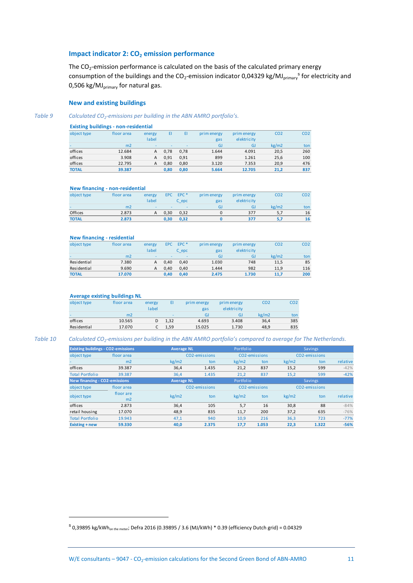### <span id="page-13-0"></span>**Impact indicator 2: CO<sup>2</sup> emission performance**

The  $CO_2$ -emission performance is calculated on the basis of the calculated primary energy consumption of the buildings and the CO<sub>2</sub>-emission indicator 0,04329 kg/MJ<sub>primary</sub><sup>s</sup> for electricity and 0,506 kg/MJ $_{\text{primary}}$  for natural gas.

### **New and existing buildings**

*Table 9 Calculated CO<sup>2</sup> -emissions per building in the ABN AMRO portfolio's.*

| <b>Existing buildings - non-residential</b> |  |  |
|---------------------------------------------|--|--|
|---------------------------------------------|--|--|

| object type  | floor area     | energy<br>label | EI   | EI   | prim energy<br>gas | prim energy<br>elektricity | CO <sub>2</sub> | CO <sub>2</sub> |  |  |  |  |  |
|--------------|----------------|-----------------|------|------|--------------------|----------------------------|-----------------|-----------------|--|--|--|--|--|
|              | m <sub>2</sub> | $\sim$          |      |      | GJ                 | GJ                         | kg/m2           | ton             |  |  |  |  |  |
| offices      | 12.684         | А               | 0.78 | 0.78 | 1.644              | 4.091                      | 20.5            | 260             |  |  |  |  |  |
| offices      | 3.908          | А               | 0.91 | 0.91 | 899                | 1.261                      | 25,6            | 100             |  |  |  |  |  |
| offices      | 22.795         | А               | 0.80 | 0.80 | 3.120              | 7.353                      | 20,9            | 476             |  |  |  |  |  |
| <b>TOTAL</b> | 39.387         |                 | 0,80 | 0,80 | 5.664              | 12.705                     | 21.2            | 837             |  |  |  |  |  |

#### **New financing - non-residential**

|              | ------- <del>---------</del> |                          |                          |                          |             |             |                 |                 |
|--------------|------------------------------|--------------------------|--------------------------|--------------------------|-------------|-------------|-----------------|-----------------|
| object type  | floor area                   | energy                   | EPC                      | EPC <sup>*</sup>         | prim energy | prim energy | CO <sub>2</sub> | CO <sub>2</sub> |
|              |                              | label                    |                          | C epc                    | gas         | elektricity |                 |                 |
| $\sim$       | m2                           | $\overline{\phantom{a}}$ | $\overline{\phantom{a}}$ | $\overline{\phantom{a}}$ | GJ          | GJ          | kg/m2           | ton             |
| Offices      | 2.873                        | А                        | 0.30                     | 0,32                     |             | 377         | 5,7             | 16              |
| <b>TOTAL</b> | 2.873                        |                          | 0.30                     | 0,32                     |             | 377         | 5.7             | 16              |
|              |                              |                          |                          |                          |             |             |                 |                 |
|              |                              |                          |                          |                          |             |             |                 |                 |

### **New financing - residential**

| <u></u>      |            |        |            |                          |             |             |                 |                 |
|--------------|------------|--------|------------|--------------------------|-------------|-------------|-----------------|-----------------|
| object type  | floor area | energy | <b>EPC</b> | EPC <sup>*</sup>         | prim energy | prim energy | CO <sub>2</sub> | CO <sub>2</sub> |
|              |            | label  |            | C epc                    | gas         | elektricity |                 |                 |
| -            | m2         | $\sim$ | -          | $\overline{\phantom{a}}$ | GJ          | GJ          | kg/m2           | ton             |
| Residential  | 7.380      | А      | 0.40       | 0.40                     | 1.030       | 748         | 11,5            | 85              |
| Residential  | 9.690      | А      | 0.40       | 0.40                     | 1.444       | 982         | 11.9            | 116             |
| <b>TOTAL</b> | 17.070     |        | 0.40       | 0.40                     | 2.475       | 1.730       | 11.7            | 200             |

### **Average existing buildings NL**

| object type              | floor area     | energy<br>label |                          | prim energy<br>gas | prim energy<br>elektricity | CO2   | CO <sub>2</sub> |
|--------------------------|----------------|-----------------|--------------------------|--------------------|----------------------------|-------|-----------------|
| $\overline{\phantom{a}}$ | m <sub>2</sub> |                 | $\overline{\phantom{a}}$ | GJ                 | GI                         | kg/m2 | ton             |
| offices                  | 10.565         | D               | 1.32                     | 4.693              | 3.408                      | 36,4  | 385             |
| Residential              | 17.070         |                 | 1.59                     | 15.025             | 1.730                      | 48.9  | 835             |

 $\overline{a}$ 

*Table 10 Calculated CO<sup>2</sup> -emissions per building in the ABN AMRO portfolio's compared to average for The Netherlands.*

| <b>Existing buildings - CO2-emissions</b> |                                      | <b>Average NL</b> |                   | Portfolio |                            |       | <b>Savings</b> |          |  |
|-------------------------------------------|--------------------------------------|-------------------|-------------------|-----------|----------------------------|-------|----------------|----------|--|
| object type                               | floor area                           |                   | CO2-emissions     |           | CO2-emissions              |       | CO2-emissions  |          |  |
|                                           | m <sub>2</sub>                       | kg/m2             | ton               | kg/m2     | ton                        | kg/m2 | ton            | relative |  |
| offices                                   | 39.387                               | 36,4              | 1.435             | 21,2      | 837                        | 15,2  | 599            | $-42%$   |  |
| <b>Total Portfolio</b>                    | 39.387                               | 36,4              | 1.435             | 21,2      | 837                        | 15,2  | 599            | $-42%$   |  |
|                                           | <b>New financing - CO2-emissions</b> |                   | <b>Average NL</b> | Portfolio |                            |       | Savings        |          |  |
| object type                               | floor area                           |                   | CO2-emissions     |           | CO <sub>2</sub> -emissions |       | CO2-emissions  |          |  |
| object type                               | floor are                            | kg/m2             | ton               | kg/m2     | ton                        | kg/m2 | ton            | relative |  |
|                                           | m2                                   |                   |                   |           |                            |       |                |          |  |
| offices                                   | 2.873                                | 36,4              | 105               | 5,7       | 16                         | 30,8  | 88             | $-84%$   |  |
| retail housing                            | 17.070                               | 48,9              | 835               | 11,7      | 200                        | 37,2  | 635            | $-76%$   |  |
| <b>Total Portfolio</b>                    | 19.943                               | 47.1              | 940               | 10.9      | 216                        | 36,3  | 723            | $-77%$   |  |
| Existing + new                            | 59.330                               | 40.0              | 2.375             | 17,7      | 1.053                      | 22,3  | 1.322          | $-56%$   |  |

 $^{\text{S}}$  0,39895 kg/kWh<sub>on the meter</sub>; Defra 2016 (0.39895 / 3.6 (MJ/kWh) \* 0.39 (efficiency Dutch grid) = 0.04329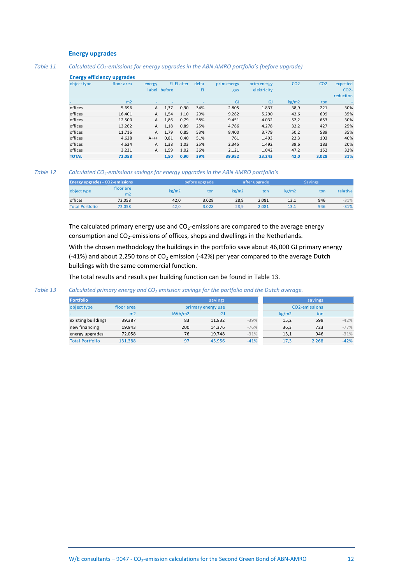### **Energy upgrades**

### *Table 11 Calculated CO<sup>2</sup> -emissions for energy upgrades in the ABN AMRO portfolio's (before upgrade)*

### **Energy efficiency upgrades**

| object type  | floor area     | energy       |        | El El after | delta | prim energy | prim energy | CO <sub>2</sub> | CO <sub>2</sub> | expected        |
|--------------|----------------|--------------|--------|-------------|-------|-------------|-------------|-----------------|-----------------|-----------------|
|              |                | label        | before |             | EI    | gas         | elektricity |                 |                 | CO <sub>2</sub> |
|              |                |              |        |             |       |             |             |                 |                 | reduction       |
|              | m <sub>2</sub> |              |        |             |       | <b>GJ</b>   | <b>GJ</b>   | kg/m2           | ton             |                 |
| offices      | 5.696          | $\mathsf{A}$ | 1,37   | 0,90        | 34%   | 2.805       | 1.837       | 38,9            | 221             | 30%             |
| offices      | 16.401         | A            | 1,54   | 1,10        | 29%   | 9.282       | 5.290       | 42,6            | 699             | 35%             |
| offices      | 12.500         | A            | 1,86   | 0,79        | 58%   | 9.451       | 4.032       | 52,2            | 653             | 30%             |
| offices      | 13.262         | A            | 1,18   | 0,89        | 25%   | 4.786       | 4.278       | 32,2            | 427             | 25%             |
| offices      | 11.716         | A            | 1,79   | 0,85        | 53%   | 8.400       | 3.779       | 50,2            | 589             | 35%             |
| offices      | 4.628          | $A++$        | 0,81   | 0,40        | 51%   | 761         | 1.493       | 22,3            | 103             | 40%             |
| offices      | 4.624          | A            | 1,38   | 1,03        | 25%   | 2.345       | 1.492       | 39,6            | 183             | 20%             |
| offices      | 3.231          | A            | 1,59   | 1,02        | 36%   | 2.121       | 1.042       | 47,2            | 152             | 32%             |
| <b>TOTAL</b> | 72.058         |              | 1,50   | 0,90        | 39%   | 39.952      | 23.243      | 42,0            | 3.028           | 31%             |

### *Table 12 Calculated CO<sup>2</sup> -emissions savings for energy upgrades in the ABN AMRO portfolio's*

| <b>Energy upgrades - CO2-emissions</b> |                 |       | before upgrade |       | after upgrade |       | <b>Savings</b> |          |
|----------------------------------------|-----------------|-------|----------------|-------|---------------|-------|----------------|----------|
| object type                            | floor are<br>m2 | kg/m2 | ton            | kg/m2 | ton           | kg/m2 | ton            | relative |
| offices                                | 72.058          | 42.0  | 3.028          | 28.9  | 2.081         | 13.1  | 946            | $-31%$   |
| <b>Total Portfolio</b>                 | 72.058          | 42.0  | 3.028          | 28.9  | 2.081         | 13.1  | 946            | $-31%$   |

The calculated primary energy use and  $CO<sub>2</sub>$ -emissions are compared to the average energy consumption and CO<sub>2</sub>-emissions of offices, shops and dwellings in the Netherlands.

With the chosen methodology the buildings in the portfolio save about 46,000 GJ primary energy  $(-41%)$  and about 2,250 tons of CO<sub>2</sub> emission  $(-42%)$  per year compared to the average Dutch buildings with the same commercial function.

The total results and results per building function can be found i[n Table 13.](#page-14-0)

### <span id="page-14-0"></span>*Table 13 Calculated primary energy and CO<sup>2</sup> emission savings for the portfolio and the Dutch average.*

| <b>Portfolio</b>       |                |        | savings            |        |       | savings                    |        |
|------------------------|----------------|--------|--------------------|--------|-------|----------------------------|--------|
| object type            | floor area     |        | primary energy use |        |       | CO <sub>2</sub> -emissions |        |
|                        | m <sub>2</sub> | kWh/m2 | GJ                 |        | kg/m2 | ton                        |        |
| existing buildings     | 39.387         | 83     | 11.832             | $-39%$ | 15,2  | 599                        | $-42%$ |
| new financing          | 19.943         | 200    | 14.376             | $-76%$ | 36,3  | 723                        | $-77%$ |
| energy upgrades        | 72.058         | 76     | 19.748             | $-31%$ | 13,1  | 946                        | $-31%$ |
| <b>Total Portfolio</b> | 131.388        | 97     | 45.956             | $-41%$ | 17,3  | 2.268                      | $-42%$ |
|                        |                |        |                    |        |       |                            |        |
|                        |                |        |                    |        |       |                            |        |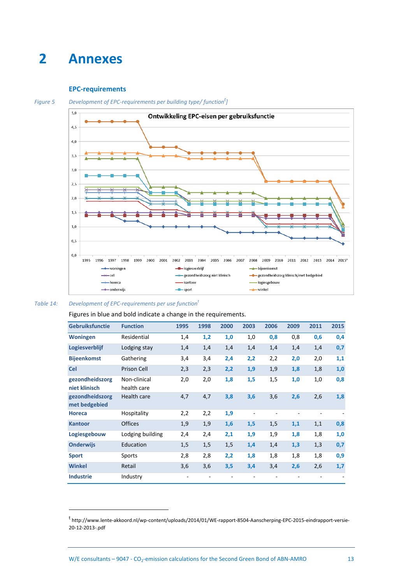### <span id="page-15-0"></span>**2 Annexes**

### <span id="page-15-3"></span><span id="page-15-1"></span>**EPC-requirements**



*Figure 5 Development of EPC-requirements per building type/ function<sup>t</sup> ]*

### <span id="page-15-2"></span>*Table 14: Development of EPC-requirements per use functio[n](#page-15-3)<sup>t</sup>*

 $\overline{a}$ 

Figures in blue and bold indicate a change in the requirements.

| <b>Gebruiksfunctie</b>           | <b>Function</b>             | 1995 | 1998 | 2000 | 2003 | 2006 | 2009 | 2011 | 2015 |
|----------------------------------|-----------------------------|------|------|------|------|------|------|------|------|
| <b>Woningen</b>                  | Residential                 | 1,4  | 1,2  | 1,0  | 1,0  | 0,8  | 0,8  | 0,6  | 0,4  |
| Logiesverblijf                   | Lodging stay                | 1,4  | 1,4  | 1,4  | 1,4  | 1,4  | 1,4  | 1,4  | 0,7  |
| <b>Bijeenkomst</b>               | Gathering                   | 3,4  | 3,4  | 2,4  | 2,2  | 2,2  | 2,0  | 2,0  | 1,1  |
| <b>Cel</b>                       | Prison Cell                 | 2,3  | 2,3  | 2,2  | 1,9  | 1,9  | 1,8  | 1,8  | 1,0  |
| gezondheidszorg<br>niet klinisch | Non-clinical<br>health care | 2,0  | 2,0  | 1,8  | 1,5  | 1,5  | 1,0  | 1,0  | 0,8  |
| gezondheidszorg<br>met bedgebied | Health care                 | 4,7  | 4,7  | 3,8  | 3,6  | 3,6  | 2,6  | 2,6  | 1,8  |
| <b>Horeca</b>                    | Hospitality                 | 2,2  | 2,2  | 1,9  |      |      |      |      |      |
| <b>Kantoor</b>                   | <b>Offices</b>              | 1,9  | 1,9  | 1,6  | 1,5  | 1,5  | 1,1  | 1,1  | 0,8  |
| Logiesgebouw                     | Lodging building            | 2,4  | 2,4  | 2,1  | 1,9  | 1,9  | 1,8  | 1,8  | 1,0  |
| <b>Onderwijs</b>                 | Education                   | 1,5  | 1,5  | 1,5  | 1,4  | 1,4  | 1,3  | 1,3  | 0,7  |
| <b>Sport</b>                     | Sports                      | 2,8  | 2,8  | 2,2  | 1,8  | 1,8  | 1,8  | 1,8  | 0,9  |
| <b>Winkel</b>                    | Retail                      | 3,6  | 3,6  | 3,5  | 3,4  | 3,4  | 2,6  | 2,6  | 1,7  |
| <b>Industrie</b>                 | Industry                    |      |      |      |      |      |      |      |      |

<sup>&</sup>lt;sup>t</sup> http://www.lente-akkoord.nl/wp-content/uploads/2014/01/WE-rapport-8504-Aanscherping-EPC-2015-eindrapport-versie-20-12-2013-.pdf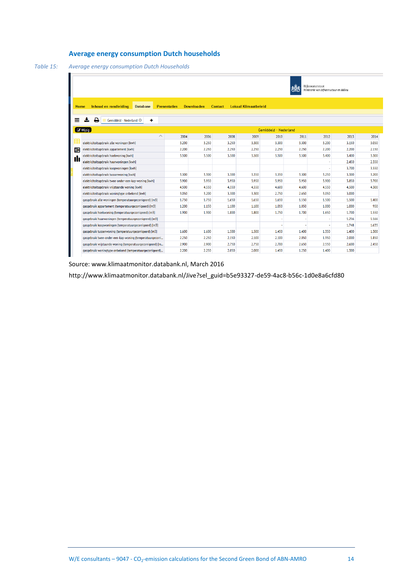### <span id="page-16-0"></span>**Average energy consumption Dutch households**

<span id="page-16-2"></span>*Table 15: Average energy consumption Dutch Households*

| Rijkswaterstaat<br>Ministerie van Infrastructuur en Milieu |                                                                                                                                |       |       |       |       |                       |       |       |       |       |
|------------------------------------------------------------|--------------------------------------------------------------------------------------------------------------------------------|-------|-------|-------|-------|-----------------------|-------|-------|-------|-------|
| Home                                                       | Inhoud en rondleiding<br><b>Lokaal Klimaatbeleid</b><br><b>Database</b><br><b>Presentaties</b><br><b>Downloaden</b><br>Contact |       |       |       |       |                       |       |       |       |       |
| ÷.<br>≡                                                    | e<br>Gemiddeld - Nederland <sup>@</sup><br>٠                                                                                   |       |       |       |       |                       |       |       |       |       |
| $\sigma$ Wijzig                                            |                                                                                                                                |       |       |       |       | Gemiddeld - Nederland |       |       |       |       |
|                                                            | $\wedge$                                                                                                                       | 2004  | 2006  | 2008  | 2009  | 2010                  | 2011  | 2012  | 2013  | 2014  |
| Ŧ                                                          | elektriciteitsgebruik alle woningen [kwh]                                                                                      | 3.200 | 3.250 | 3.250 | 3.300 | 3.300                 | 3.300 | 3.200 | 3.150 | 3.050 |
| 畾                                                          | elektriciteitsgebruik appartement [kwh]                                                                                        | 2.200 | 2.250 | 2.250 | 2.250 | 2.250                 | 2.250 | 2.200 | 2.200 | 2.150 |
|                                                            | elektriciteitsgebruik hoekwoning [kwh]                                                                                         | 3.500 | 3.500 | 3.500 | 3.500 | 3.500                 | 3.500 | 3.400 | 3.400 | 3.300 |
| ılı                                                        | elektriciteitsgebruik huurwoningen [kwh]                                                                                       |       |       |       |       |                       |       |       | 2.450 | 2.350 |
|                                                            | elektriciteitsgebruik koopwoningen [kwh]                                                                                       |       |       |       |       |                       |       |       | 3.700 | 3.550 |
|                                                            | elektriciteitsgebruik tussenwoning [kwh]                                                                                       | 3.300 | 3.300 | 3.300 | 3.350 | 3.350                 | 3.300 | 3.250 | 3.300 | 3.200 |
|                                                            | elektriciteitsgebruik twee-onder-een-kap-woning [kwh]                                                                          | 3.900 | 3.950 | 3.950 | 3.950 | 3.950                 | 3.950 | 3.900 | 3.850 | 3.700 |
|                                                            | elektriciteitsgebruik vriistaande woning [kwh]                                                                                 | 4.500 | 4.550 | 4.550 | 4.550 | 4.600                 | 4.600 | 4.550 | 4.500 | 4.300 |
|                                                            | elektriciteitsgebruik woningtype onbekend [kwh]                                                                                | 3.050 | 3.200 | 3.300 | 3.300 | 2.750                 | 2.650 | 3.050 | 3.000 |       |
|                                                            | qasqebruik alle woningen (temperatuurgecorrigeerd) [m3]                                                                        | 1.750 | 1.750 | 1.650 | 1.650 | 1.650                 | 1.550 | 1.500 | 1.500 | 1.400 |
|                                                            | qasqebruik appartement (temperatuurgecorrigeerd) [m3]                                                                          | 1.200 | 1.150 | 1.100 | 1.100 | 1.050                 | 1.050 | 1.000 | 1.000 | 950   |
|                                                            | qasqebruik hoekwoning (temperatuurgecorrigeerd) [m3]                                                                           | 1.900 | 1.900 | 1.800 | 1.800 | 1.750                 | 1.700 | 1.650 | 1.700 | 1.550 |
|                                                            | gasgebruik huurwoningen (temperatuurgecorrigeerd) [m3]                                                                         |       |       |       |       |                       |       |       | 1.256 | 1.166 |
|                                                            | gasgebruik koopwoningen (temperatuurgecorrigeerd) [m3]                                                                         |       |       |       |       |                       |       |       | 1.748 | 1.635 |
|                                                            | gasgebruik tussenwoning (temperatuurgecorrigeerd) [m3]                                                                         | 1.600 | 1.600 | 1.500 | 1.500 | 1.450                 | 1.400 | 1.350 | 1.400 | 1.300 |
|                                                            | gasgebruik twee-onder-een-kap-woning (temperatuurgecorri                                                                       | 2.250 | 2.250 | 2.150 | 2.100 | 2.100                 | 2.050 | 1.950 | 2.000 | 1.850 |
|                                                            | gasgebruik vrijstaande woning (temperatuurgecorrigeerd) [m                                                                     | 2.900 | 2.900 | 2.750 | 2.750 | 2,700                 | 2.650 | 2.550 | 2.600 | 2.450 |
|                                                            | qasqebruik woninqtype onbekend (temperatuurqecorriqeerd)                                                                       | 2.200 | 2.250 | 2.050 | 2.000 | 1.450                 | 1.250 | 1.400 | 1.300 |       |

Source: www.klimaatmonitor.databank.nl, March 2016

<span id="page-16-1"></span>http://www.klimaatmonitor.databank.nl/Jive?sel\_guid=b5e93327-de59-4ac8-b56c-1d0e8a6cfd80